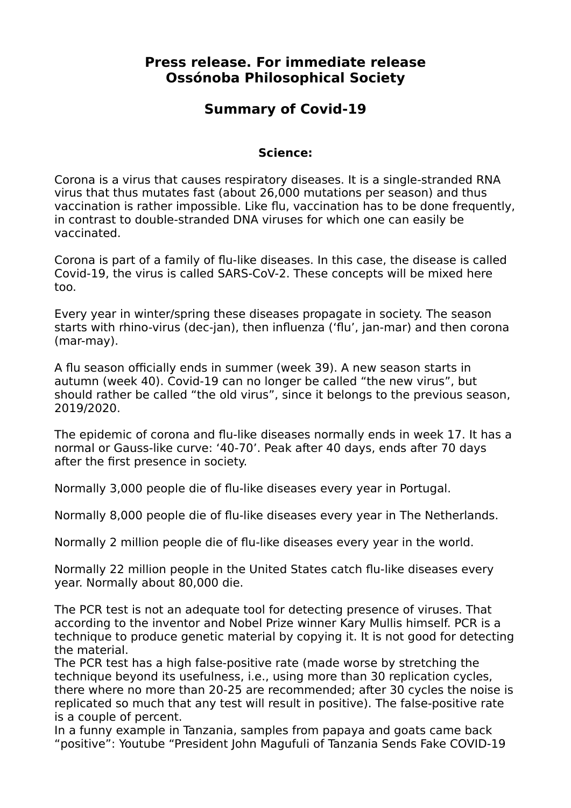## **Press release. For immediate release Ossónoba Philosophical Society**

## **Summary of Covid-19**

#### **Science:**

Corona is a virus that causes respiratory diseases. It is a single-stranded RNA virus that thus mutates fast (about 26,000 mutations per season) and thus vaccination is rather impossible. Like flu, vaccination has to be done frequently, in contrast to double-stranded DNA viruses for which one can easily be vaccinated.

Corona is part of a family of flu-like diseases. In this case, the disease is called Covid-19, the virus is called SARS-CoV-2. These concepts will be mixed here too.

Every year in winter/spring these diseases propagate in society. The season starts with rhino-virus (dec-jan), then influenza ('flu', jan-mar) and then corona (mar-may).

A flu season officially ends in summer (week 39). A new season starts in autumn (week 40). Covid-19 can no longer be called "the new virus", but should rather be called "the old virus", since it belongs to the previous season, 2019/2020.

The epidemic of corona and flu-like diseases normally ends in week 17. It has a normal or Gauss-like curve: '40-70'. Peak after 40 days, ends after 70 days after the first presence in society.

Normally 3,000 people die of flu-like diseases every year in Portugal.

Normally 8,000 people die of flu-like diseases every year in The Netherlands.

Normally 2 million people die of flu-like diseases every year in the world.

Normally 22 million people in the United States catch flu-like diseases every year. Normally about 80,000 die.

The PCR test is not an adequate tool for detecting presence of viruses. That according to the inventor and Nobel Prize winner Kary Mullis himself. PCR is a technique to produce genetic material by copying it. It is not good for detecting the material.

The PCR test has a high false-positive rate (made worse by stretching the technique beyond its usefulness, i.e., using more than 30 replication cycles, there where no more than 20-25 are recommended; after 30 cycles the noise is replicated so much that any test will result in positive). The false-positive rate is a couple of percent.

In a funny example in Tanzania, samples from papaya and goats came back "positive": Youtube "President John Magufuli of Tanzania Sends Fake COVID-19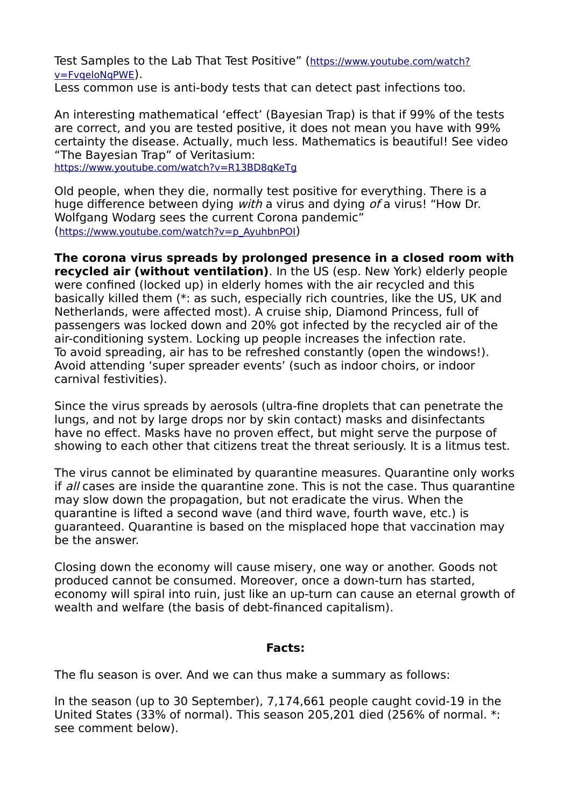Test Samples to the Lab That Test Positive" ([https://www.youtube.com/watch?](https://www.youtube.com/watch?v=FvqeloNqPWE) [v=FvqeloNqPWE](https://www.youtube.com/watch?v=FvqeloNqPWE)). Less common use is anti-body tests that can detect past infections too.

An interesting mathematical 'effect' (Bayesian Trap) is that if 99% of the tests are correct, and you are tested positive, it does not mean you have with 99% certainty the disease. Actually, much less. Mathematics is beautiful! See video "The Bayesian Trap" of Veritasium: <https://www.youtube.com/watch?v=R13BD8qKeTg>

Old people, when they die, normally test positive for everything. There is a

huge difference between dying *with* a virus and dying *of* a virus! "How Dr. Wolfgang Wodarg sees the current Corona pandemic" ([https://www.youtube.com/watch?v=p\\_AyuhbnPOI](https://www.youtube.com/watch?v=p_AyuhbnPOI))

**The corona virus spreads by prolonged presence in a closed room with recycled air (without ventilation)**. In the US (esp. New York) elderly people were confined (locked up) in elderly homes with the air recycled and this basically killed them (\*: as such, especially rich countries, like the US, UK and Netherlands, were affected most). A cruise ship, Diamond Princess, full of passengers was locked down and 20% got infected by the recycled air of the air-conditioning system. Locking up people increases the infection rate. To avoid spreading, air has to be refreshed constantly (open the windows!). Avoid attending 'super spreader events' (such as indoor choirs, or indoor carnival festivities).

Since the virus spreads by aerosols (ultra-fine droplets that can penetrate the lungs, and not by large drops nor by skin contact) masks and disinfectants have no effect. Masks have no proven effect, but might serve the purpose of showing to each other that citizens treat the threat seriously. It is a litmus test.

The virus cannot be eliminated by quarantine measures. Quarantine only works if all cases are inside the quarantine zone. This is not the case. Thus quarantine may slow down the propagation, but not eradicate the virus. When the quarantine is lifted a second wave (and third wave, fourth wave, etc.) is guaranteed. Quarantine is based on the misplaced hope that vaccination may be the answer.

Closing down the economy will cause misery, one way or another. Goods not produced cannot be consumed. Moreover, once a down-turn has started, economy will spiral into ruin, just like an up-turn can cause an eternal growth of wealth and welfare (the basis of debt-financed capitalism).

### **Facts:**

The flu season is over. And we can thus make a summary as follows:

In the season (up to 30 September), 7,174,661 people caught covid-19 in the United States (33% of normal). This season 205,201 died (256% of normal. \*: see comment below).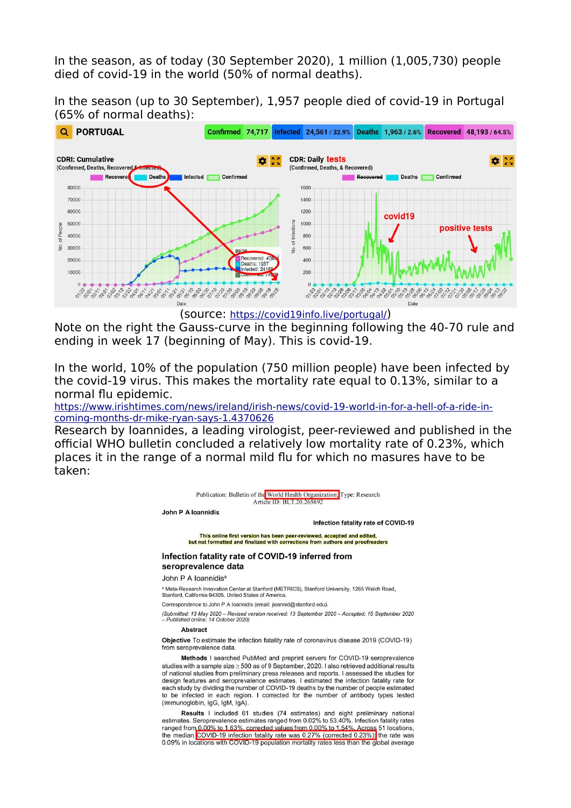In the season, as of today (30 September 2020), 1 million (1,005,730) people died of covid-19 in the world (50% of normal deaths).

In the season (up to 30 September), 1,957 people died of covid-19 in Portugal (65% of normal deaths):



(source: https://covid19info.live/portugal/)

Note on the right the Gauss-curve in the beginning following the 40-70 rule and ending in week 17 (beginning of May). This is covid-19.

In the world, 10% of the population (750 million people) have been infected by the covid-19 virus. This makes the mortality rate equal to 0.13%, similar to a normal flu epidemic.

[https://www.irishtimes.com/news/ireland/irish-news/covid-19-world-in-for-a-hell-of-a-ride-in](https://www.irishtimes.com/news/ireland/irish-news/covid-19-world-in-for-a-hell-of-a-ride-in-coming-months-dr-mike-ryan-says-1.4370626)[coming-months-dr-mike-ryan-says-1.4370626](https://www.irishtimes.com/news/ireland/irish-news/covid-19-world-in-for-a-hell-of-a-ride-in-coming-months-dr-mike-ryan-says-1.4370626)

Research by Ioannides, a leading virologist, peer-reviewed and published in the official WHO bulletin concluded a relatively low mortality rate of 0.23%, which places it in the range of a normal mild flu for which no masures have to be taken:



studies with a sample size  $\geq 500$  as of 9 September, 2020. I also retrieved additional results of national studies from preliminary press releases and reports. I assessed the studies for design features and seroprevalence estimates. I estimated the infection fatality rate for each study by dividing the number of COVID-19 deaths by the number of people estimated to be infected in each region. I corrected for the number of antibody types tested (immunoglobin, IgG, IgM, IgA).

Results I included 61 studies (74 estimates) and eight preliminary national estimates. Seroprevalence estimates ranged from 0.02% to 53.40%. Infection fatality rates ranged from 0.00% to 1.63%, corrected values from 0.00% to 1.54%. Across 51 locations, the median COVID-19 infection fatality rate was 0.27% (corrected 0.23%): the rate was 0.09% in locations with COVID-19 population mortality rates less than the global average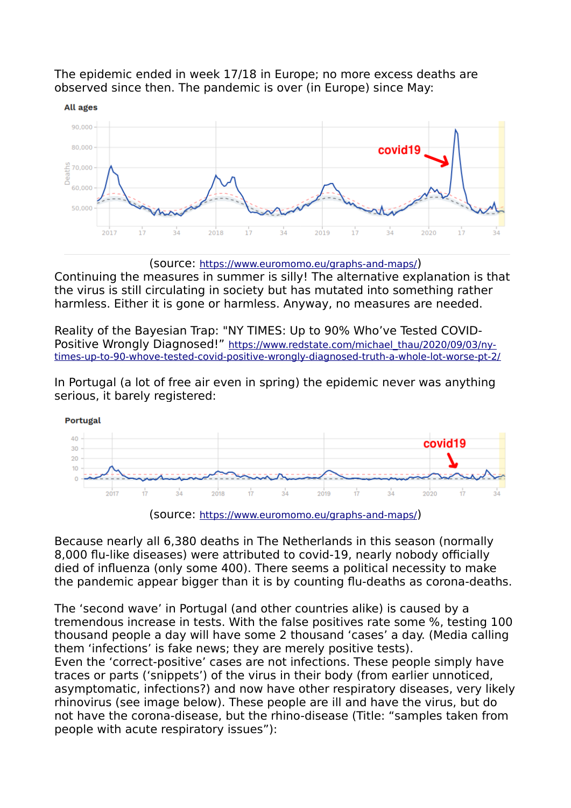

The epidemic ended in week 17/18 in Europe; no more excess deaths are observed since then. The pandemic is over (in Europe) since May:



Continuing the measures in summer is silly! The alternative explanation is that the virus is still circulating in society but has mutated into something rather harmless. Either it is gone or harmless. Anyway, no measures are needed.

Reality of the Bayesian Trap: "NY TIMES: Up to 90% Who've Tested COVIDPositive Wrongly Diagnosed!" [https://www.redstate.com/michael\\_thau/2020/09/03/ny](https://www.redstate.com/michael_thau/2020/09/03/ny-times-up-to-90-whove-tested-covid-positive-wrongly-diagnosed-truth-a-whole-lot-worse-pt-2/)[times-up-to-90-whove-tested-covid-positive-wrongly-diagnosed-truth-a-whole-lot-worse-pt-2/](https://www.redstate.com/michael_thau/2020/09/03/ny-times-up-to-90-whove-tested-covid-positive-wrongly-diagnosed-truth-a-whole-lot-worse-pt-2/)

In Portugal (a lot of free air even in spring) the epidemic never was anything serious, it barely registered:





Because nearly all 6,380 deaths in The Netherlands in this season (normally 8,000 flu-like diseases) were attributed to covid-19, nearly nobody officially died of influenza (only some 400). There seems a political necessity to make the pandemic appear bigger than it is by counting flu-deaths as corona-deaths.

The 'second wave' in Portugal (and other countries alike) is caused by a tremendous increase in tests. With the false positives rate some %, testing 100 thousand people a day will have some 2 thousand 'cases' a day. (Media calling them 'infections' is fake news; they are merely positive tests).

Even the 'correct-positive' cases are not infections. These people simply have traces or parts ('snippets') of the virus in their body (from earlier unnoticed, asymptomatic, infections?) and now have other respiratory diseases, very likely rhinovirus (see image below). These people are ill and have the virus, but do not have the corona-disease, but the rhino-disease (Title: "samples taken from people with acute respiratory issues"):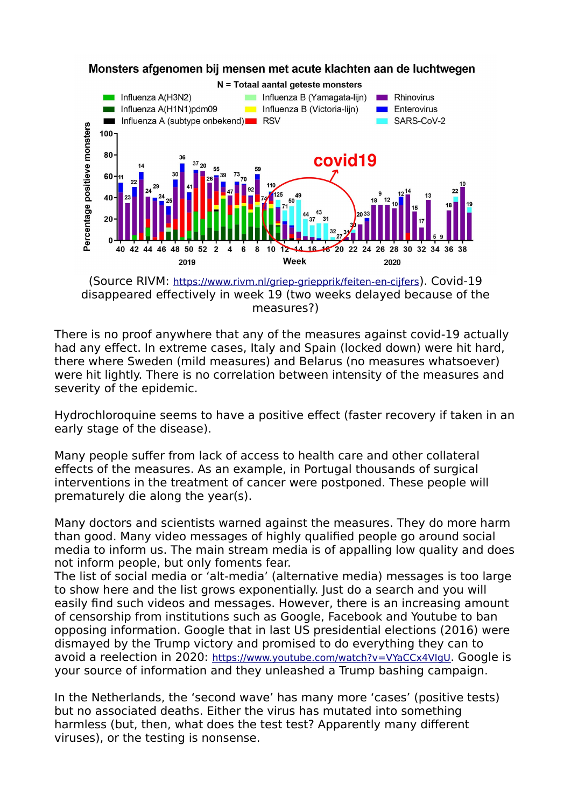

Monsters afgenomen bij mensen met acute klachten aan de luchtwegen

(Source RIVM: <https://www.rivm.nl/griep-griepprik/feiten-en-cijfers>). Covid-19 disappeared effectively in week 19 (two weeks delayed because of the measures?)

There is no proof anywhere that any of the measures against covid-19 actually had any effect. In extreme cases, Italy and Spain (locked down) were hit hard, there where Sweden (mild measures) and Belarus (no measures whatsoever) were hit lightly. There is no correlation between intensity of the measures and severity of the epidemic.

Hydrochloroquine seems to have a positive effect (faster recovery if taken in an early stage of the disease).

Many people suffer from lack of access to health care and other collateral effects of the measures. As an example, in Portugal thousands of surgical interventions in the treatment of cancer were postponed. These people will prematurely die along the year(s).

Many doctors and scientists warned against the measures. They do more harm than good. Many video messages of highly qualified people go around social media to inform us. The main stream media is of appalling low quality and does not inform people, but only foments fear.

The list of social media or 'alt-media' (alternative media) messages is too large to show here and the list grows exponentially. Just do a search and you will easily find such videos and messages. However, there is an increasing amount of censorship from institutions such as Google, Facebook and Youtube to ban opposing information. Google that in last US presidential elections (2016) were dismayed by the Trump victory and promised to do everything they can to avoid a reelection in 2020: <https://www.youtube.com/watch?v=VYaCCx4VIgU>. Google is your source of information and they unleashed a Trump bashing campaign.

In the Netherlands, the 'second wave' has many more 'cases' (positive tests) but no associated deaths. Either the virus has mutated into something harmless (but, then, what does the test test? Apparently many different viruses), or the testing is nonsense.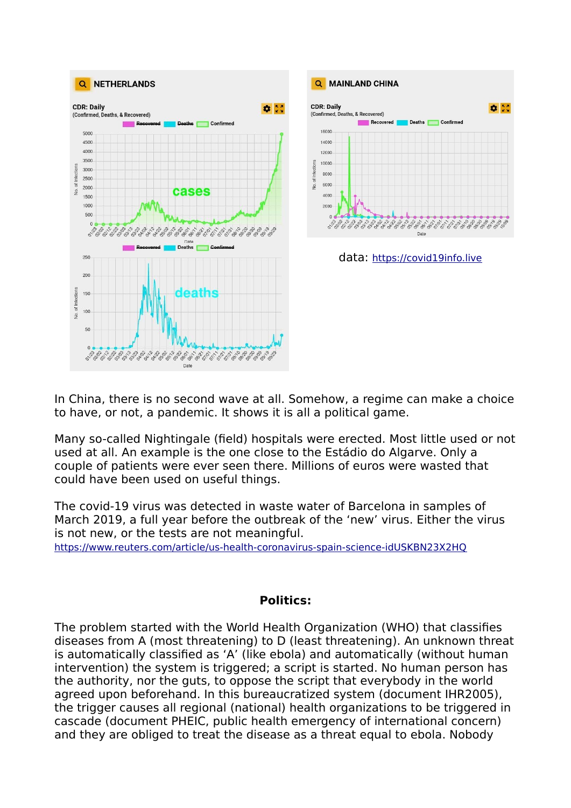



data: [https://covid19info.live](https://covid19info.live/)

In China, there is no second wave at all. Somehow, a regime can make a choice to have, or not, a pandemic. It shows it is all a political game.

Many so-called Nightingale (field) hospitals were erected. Most little used or not used at all. An example is the one close to the Estádio do Algarve. Only a couple of patients were ever seen there. Millions of euros were wasted that could have been used on useful things.

The covid-19 virus was detected in waste water of Barcelona in samples of March 2019, a full year before the outbreak of the 'new' virus. Either the virus is not new, or the tests are not meaningful.

<https://www.reuters.com/article/us-health-coronavirus-spain-science-idUSKBN23X2HQ>

#### **Politics:**

The problem started with the World Health Organization (WHO) that classifies diseases from A (most threatening) to D (least threatening). An unknown threat is automatically classified as 'A' (like ebola) and automatically (without human intervention) the system is triggered; a script is started. No human person has the authority, nor the guts, to oppose the script that everybody in the world agreed upon beforehand. In this bureaucratized system (document IHR2005), the trigger causes all regional (national) health organizations to be triggered in cascade (document PHEIC, public health emergency of international concern) and they are obliged to treat the disease as a threat equal to ebola. Nobody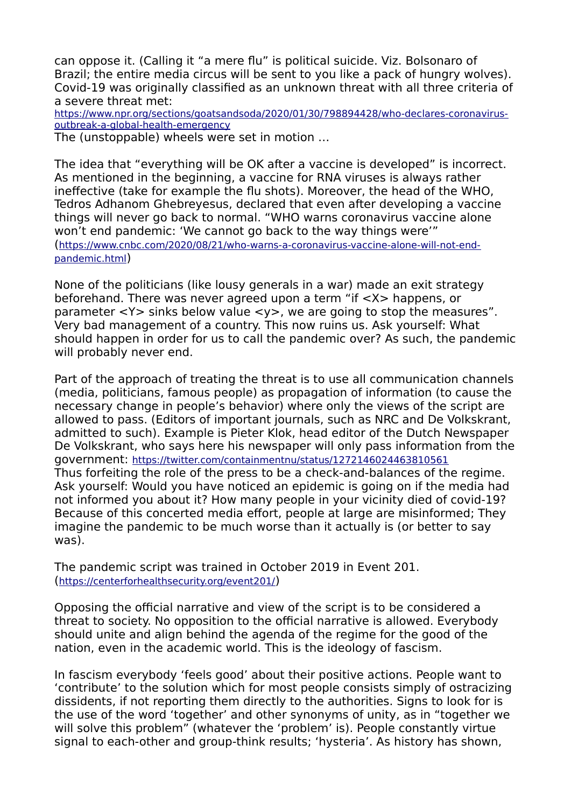can oppose it. (Calling it "a mere flu" is political suicide. Viz. Bolsonaro of Brazil; the entire media circus will be sent to you like a pack of hungry wolves). Covid-19 was originally classified as an unknown threat with all three criteria of a severe threat met:

[https://www.npr.org/sections/goatsandsoda/2020/01/30/798894428/who-declares-coronavirus](https://www.npr.org/sections/goatsandsoda/2020/01/30/798894428/who-declares-coronavirus-outbreak-a-global-health-emergency)[outbreak-a-global-health-emergency](https://www.npr.org/sections/goatsandsoda/2020/01/30/798894428/who-declares-coronavirus-outbreak-a-global-health-emergency)

The (unstoppable) wheels were set in motion …

The idea that "everything will be OK after a vaccine is developed" is incorrect. As mentioned in the beginning, a vaccine for RNA viruses is always rather ineffective (take for example the flu shots). Moreover, the head of the WHO, Tedros Adhanom Ghebreyesus, declared that even after developing a vaccine things will never go back to normal. "WHO warns coronavirus vaccine alone won't end pandemic: 'We cannot go back to the way things were'" ([https://www.cnbc.com/2020/08/21/who-warns-a-coronavirus-vaccine-alone-will-not-end](https://www.cnbc.com/2020/08/21/who-warns-a-coronavirus-vaccine-alone-will-not-end-pandemic.html)[pandemic.html](https://www.cnbc.com/2020/08/21/who-warns-a-coronavirus-vaccine-alone-will-not-end-pandemic.html))

None of the politicians (like lousy generals in a war) made an exit strategy beforehand. There was never agreed upon a term "if <X> happens, or parameter  $\langle Y \rangle$  sinks below value  $\langle Y \rangle$ , we are going to stop the measures". Very bad management of a country. This now ruins us. Ask yourself: What should happen in order for us to call the pandemic over? As such, the pandemic will probably never end.

Part of the approach of treating the threat is to use all communication channels (media, politicians, famous people) as propagation of information (to cause the necessary change in people's behavior) where only the views of the script are allowed to pass. (Editors of important journals, such as NRC and De Volkskrant, admitted to such). Example is Pieter Klok, head editor of the Dutch Newspaper De Volkskrant, who says here his newspaper will only pass information from the government: <https://twitter.com/containmentnu/status/1272146024463810561> Thus forfeiting the role of the press to be a check-and-balances of the regime. Ask yourself: Would you have noticed an epidemic is going on if the media had not informed you about it? How many people in your vicinity died of covid-19? Because of this concerted media effort, people at large are misinformed; They imagine the pandemic to be much worse than it actually is (or better to say was).

The pandemic script was trained in October 2019 in Event 201. (<https://centerforhealthsecurity.org/event201/>)

Opposing the official narrative and view of the script is to be considered a threat to society. No opposition to the official narrative is allowed. Everybody should unite and align behind the agenda of the regime for the good of the nation, even in the academic world. This is the ideology of fascism.

In fascism everybody 'feels good' about their positive actions. People want to 'contribute' to the solution which for most people consists simply of ostracizing dissidents, if not reporting them directly to the authorities. Signs to look for is the use of the word 'together' and other synonyms of unity, as in "together we will solve this problem" (whatever the 'problem' is). People constantly virtue signal to each-other and group-think results; 'hysteria'. As history has shown,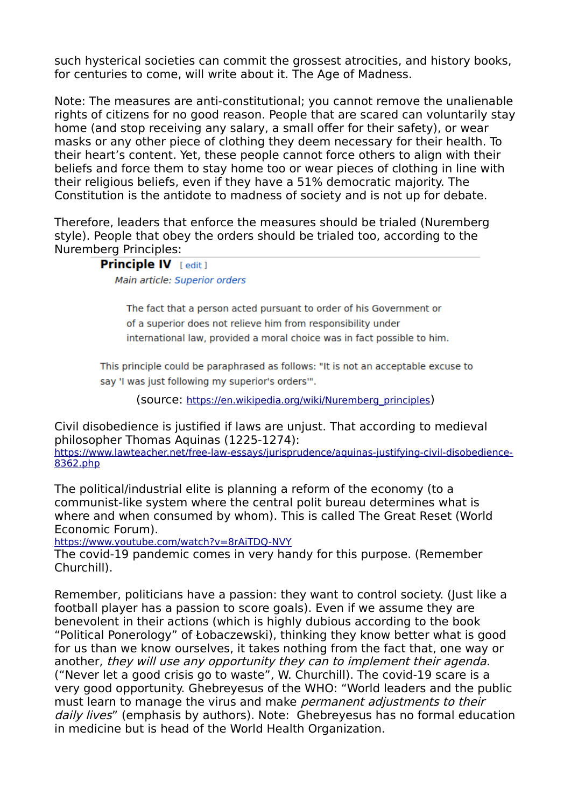such hysterical societies can commit the grossest atrocities, and history books, for centuries to come, will write about it. The Age of Madness.

Note: The measures are anti-constitutional; you cannot remove the unalienable rights of citizens for no good reason. People that are scared can voluntarily stay home (and stop receiving any salary, a small offer for their safety), or wear masks or any other piece of clothing they deem necessary for their health. To their heart's content. Yet, these people cannot force others to align with their beliefs and force them to stay home too or wear pieces of clothing in line with their religious beliefs, even if they have a 51% democratic majority. The Constitution is the antidote to madness of society and is not up for debate.

Therefore, leaders that enforce the measures should be trialed (Nuremberg style). People that obey the orders should be trialed too, according to the Nuremberg Principles:

# **Principle IV Fedit 1**

Main article: Superior orders

The fact that a person acted pursuant to order of his Government or of a superior does not relieve him from responsibility under international law, provided a moral choice was in fact possible to him.

This principle could be paraphrased as follows: "It is not an acceptable excuse to say 'I was just following my superior's orders"".

(source: [https://en.wikipedia.org/wiki/Nuremberg\\_principles](https://en.wikipedia.org/wiki/Nuremberg_principles))

Civil disobedience is justified if laws are unjust. That according to medieval philosopher Thomas Aquinas (1225-1274):

[https://www.lawteacher.net/free-law-essays/jurisprudence/aquinas-justifying-civil-disobedience-](https://www.lawteacher.net/free-law-essays/jurisprudence/aquinas-justifying-civil-disobedience-8362.php)[8362.php](https://www.lawteacher.net/free-law-essays/jurisprudence/aquinas-justifying-civil-disobedience-8362.php)

The political/industrial elite is planning a reform of the economy (to a communist-like system where the central polit bureau determines what is where and when consumed by whom). This is called The Great Reset (World Economic Forum).

<https://www.youtube.com/watch?v=8rAiTDQ-NVY>

The covid-19 pandemic comes in very handy for this purpose. (Remember Churchill).

Remember, politicians have a passion: they want to control society. (Just like a football player has a passion to score goals). Even if we assume they are benevolent in their actions (which is highly dubious according to the book "Political Ponerology" of Łobaczewski), thinking they know better what is good for us than we know ourselves, it takes nothing from the fact that, one way or another, they will use any opportunity they can to implement their agenda. ("Never let a good crisis go to waste", W. Churchill). The covid-19 scare is a very good opportunity. Ghebreyesus of the WHO: "World leaders and the public must learn to manage the virus and make *permanent adjustments to their* daily lives" (emphasis by authors). Note: Ghebreyesus has no formal education in medicine but is head of the World Health Organization.